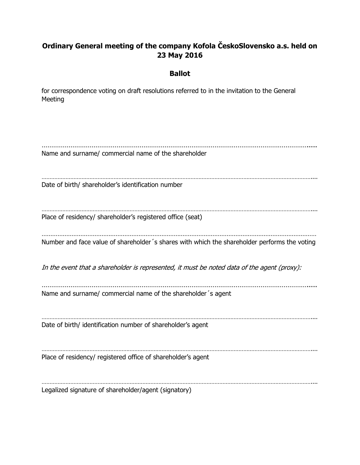## **Ordinary General meeting of the company Kofola ČeskoSlovensko a.s. held on 23 May 2016**

## **Ballot**

for correspondence voting on draft resolutions referred to in the invitation to the General Meeting

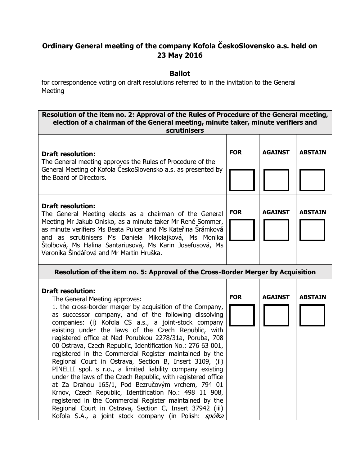## **Ordinary General meeting of the company Kofola ČeskoSlovensko a.s. held on 23 May 2016**

## **Ballot**

for correspondence voting on draft resolutions referred to in the invitation to the General Meeting

| Resolution of the item no. 2: Approval of the Rules of Procedure of the General meeting,<br>election of a chairman of the General meeting, minute taker, minute verifiers and<br>scrutinisers                                                                                                                                                                                                                                                                                                                                                                                                                                                                                                                                                                                                                                                                                                                      |            |                |                |
|--------------------------------------------------------------------------------------------------------------------------------------------------------------------------------------------------------------------------------------------------------------------------------------------------------------------------------------------------------------------------------------------------------------------------------------------------------------------------------------------------------------------------------------------------------------------------------------------------------------------------------------------------------------------------------------------------------------------------------------------------------------------------------------------------------------------------------------------------------------------------------------------------------------------|------------|----------------|----------------|
| <b>Draft resolution:</b><br>The General meeting approves the Rules of Procedure of the<br>General Meeting of Kofola CeskoSlovensko a.s. as presented by<br>the Board of Directors.                                                                                                                                                                                                                                                                                                                                                                                                                                                                                                                                                                                                                                                                                                                                 | <b>FOR</b> | <b>AGAINST</b> | <b>ABSTAIN</b> |
| <b>Draft resolution:</b><br>The General Meeting elects as a chairman of the General<br>Meeting Mr Jakub Onisko, as a minute taker Mr René Sommer,<br>as minute verifiers Ms Beata Pulcer and Ms Kateřina Šrámková<br>and as scrutinisers Ms Daniela Mikolajková, Ms Monika<br>Štolbová, Ms Halina Santariusová, Ms Karin Josefusová, Ms<br>Veronika Šindářová and Mr Martin Hruška.                                                                                                                                                                                                                                                                                                                                                                                                                                                                                                                                | <b>FOR</b> | <b>AGAINST</b> | <b>ABSTAIN</b> |
| Resolution of the item no. 5: Approval of the Cross-Border Merger by Acquisition                                                                                                                                                                                                                                                                                                                                                                                                                                                                                                                                                                                                                                                                                                                                                                                                                                   |            |                |                |
| <b>Draft resolution:</b><br>The General Meeting approves:<br>1. the cross-border merger by acquisition of the Company,<br>as successor company, and of the following dissolving<br>companies: (i) Kofola CS a.s., a joint-stock company<br>existing under the laws of the Czech Republic, with<br>registered office at Nad Porubkou 2278/31a, Poruba, 708<br>00 Ostrava, Czech Republic, Identification No.: 276 63 001,<br>registered in the Commercial Register maintained by the<br>Regional Court in Ostrava, Section B, Insert 3109, (ii)<br>PINELLI spol. s r.o., a limited liability company existing<br>under the laws of the Czech Republic, with registered office<br>at Za Drahou 165/1, Pod Bezručovým vrchem, 794 01<br>Krnov, Czech Republic, Identification No.: 498 11 908,<br>registered in the Commercial Register maintained by the<br>Regional Court in Ostrava, Section C, Insert 37942 (iii) | <b>FOR</b> | <b>AGAINST</b> | <b>ABSTAIN</b> |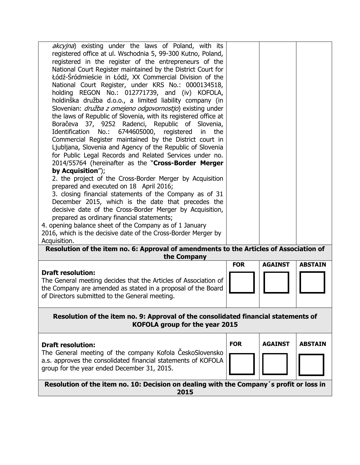| akcyjna) existing under the laws of Poland, with its<br>registered office at ul. Wschodnia 5, 99-300 Kutno, Poland,<br>registered in the register of the entrepreneurs of the<br>National Court Register maintained by the District Court for<br>Łódź-Śródmieście in Łódź, XX Commercial Division of the<br>National Court Register, under KRS No.: 0000134518,<br>holding REGON No.: 012771739, and (iv) KOFOLA,<br>holdinška družba d.o.o., a limited liability company (in<br>Slovenian: <i>družba z omejeno odgovornostjo</i> ) existing under<br>the laws of Republic of Slovenia, with its registered office at<br>Boračeva 37, 9252 Radenci, Republic of Slovenia,<br>6744605000, registered<br>Identification<br>No.:<br>in<br>the<br>Commercial Register maintained by the District court in<br>Ljubljana, Slovenia and Agency of the Republic of Slovenia<br>for Public Legal Records and Related Services under no.<br>2014/55764 (hereinafter as the "Cross-Border Merger<br>by Acquisition");<br>2. the project of the Cross-Border Merger by Acquisition<br>prepared and executed on 18 April 2016;<br>3. closing financial statements of the Company as of 31<br>December 2015, which is the date that precedes the<br>decisive date of the Cross-Border Merger by Acquisition,<br>prepared as ordinary financial statements;<br>4. opening balance sheet of the Company as of 1 January<br>2016, which is the decisive date of the Cross-Border Merger by |            |                |                |
|---------------------------------------------------------------------------------------------------------------------------------------------------------------------------------------------------------------------------------------------------------------------------------------------------------------------------------------------------------------------------------------------------------------------------------------------------------------------------------------------------------------------------------------------------------------------------------------------------------------------------------------------------------------------------------------------------------------------------------------------------------------------------------------------------------------------------------------------------------------------------------------------------------------------------------------------------------------------------------------------------------------------------------------------------------------------------------------------------------------------------------------------------------------------------------------------------------------------------------------------------------------------------------------------------------------------------------------------------------------------------------------------------------------------------------------------------------------------------|------------|----------------|----------------|
| Acquisition.                                                                                                                                                                                                                                                                                                                                                                                                                                                                                                                                                                                                                                                                                                                                                                                                                                                                                                                                                                                                                                                                                                                                                                                                                                                                                                                                                                                                                                                              |            |                |                |
| Resolution of the item no. 6: Approval of amendments to the Articles of Association of<br>the Company                                                                                                                                                                                                                                                                                                                                                                                                                                                                                                                                                                                                                                                                                                                                                                                                                                                                                                                                                                                                                                                                                                                                                                                                                                                                                                                                                                     |            |                |                |
|                                                                                                                                                                                                                                                                                                                                                                                                                                                                                                                                                                                                                                                                                                                                                                                                                                                                                                                                                                                                                                                                                                                                                                                                                                                                                                                                                                                                                                                                           | <b>FOR</b> | <b>AGAINST</b> | <b>ABSTAIN</b> |
| <b>Draft resolution:</b>                                                                                                                                                                                                                                                                                                                                                                                                                                                                                                                                                                                                                                                                                                                                                                                                                                                                                                                                                                                                                                                                                                                                                                                                                                                                                                                                                                                                                                                  |            |                |                |
| The General meeting decides that the Articles of Association of<br>the Company are amended as stated in a proposal of the Board<br>of Directors submitted to the General meeting.                                                                                                                                                                                                                                                                                                                                                                                                                                                                                                                                                                                                                                                                                                                                                                                                                                                                                                                                                                                                                                                                                                                                                                                                                                                                                         |            |                |                |
| Resolution of the item no. 9: Approval of the consolidated financial statements of<br>KOFOLA group for the year 2015                                                                                                                                                                                                                                                                                                                                                                                                                                                                                                                                                                                                                                                                                                                                                                                                                                                                                                                                                                                                                                                                                                                                                                                                                                                                                                                                                      |            |                |                |
| <b>Draft resolution:</b>                                                                                                                                                                                                                                                                                                                                                                                                                                                                                                                                                                                                                                                                                                                                                                                                                                                                                                                                                                                                                                                                                                                                                                                                                                                                                                                                                                                                                                                  | <b>FOR</b> | <b>AGAINST</b> | <b>ABSTAIN</b> |
| The General meeting of the company Kofola ČeskoSlovensko                                                                                                                                                                                                                                                                                                                                                                                                                                                                                                                                                                                                                                                                                                                                                                                                                                                                                                                                                                                                                                                                                                                                                                                                                                                                                                                                                                                                                  |            |                |                |
| a.s. approves the consolidated financial statements of KOFOLA<br>group for the year ended December 31, 2015.                                                                                                                                                                                                                                                                                                                                                                                                                                                                                                                                                                                                                                                                                                                                                                                                                                                                                                                                                                                                                                                                                                                                                                                                                                                                                                                                                              |            |                |                |
| Resolution of the item no. 10: Decision on dealing with the Company's profit or loss in<br>2015                                                                                                                                                                                                                                                                                                                                                                                                                                                                                                                                                                                                                                                                                                                                                                                                                                                                                                                                                                                                                                                                                                                                                                                                                                                                                                                                                                           |            |                |                |
|                                                                                                                                                                                                                                                                                                                                                                                                                                                                                                                                                                                                                                                                                                                                                                                                                                                                                                                                                                                                                                                                                                                                                                                                                                                                                                                                                                                                                                                                           |            |                |                |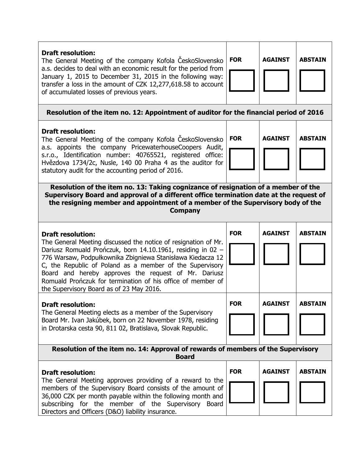| <b>Draft resolution:</b><br>The General Meeting of the company Kofola ČeskoSlovensko<br>a.s. decides to deal with an economic result for the period from<br>January 1, 2015 to December 31, 2015 in the following way:<br>transfer a loss in the amount of CZK 12,277,618.58 to account<br>of accumulated losses of previous years.                                                                                                                    | <b>FOR</b> | <b>AGAINST</b> | <b>ABSTAIN</b> |
|--------------------------------------------------------------------------------------------------------------------------------------------------------------------------------------------------------------------------------------------------------------------------------------------------------------------------------------------------------------------------------------------------------------------------------------------------------|------------|----------------|----------------|
| Resolution of the item no. 12: Appointment of auditor for the financial period of 2016                                                                                                                                                                                                                                                                                                                                                                 |            |                |                |
| <b>Draft resolution:</b><br>The General Meeting of the company Kofola CeskoSlovensko<br>a.s. appoints the company PricewaterhouseCoopers Audit,<br>s.r.o., Identification number: 40765521, registered office:<br>Hvězdova 1734/2c, Nusle, 140 00 Praha 4 as the auditor for<br>statutory audit for the accounting period of 2016.                                                                                                                     | <b>FOR</b> | <b>AGAINST</b> | <b>ABSTAIN</b> |
| Resolution of the item no. 13: Taking cognizance of resignation of a member of the<br>Supervisory Board and approval of a different office termination date at the request of<br>the resigning member and appointment of a member of the Supervisory body of the<br><b>Company</b>                                                                                                                                                                     |            |                |                |
| <b>Draft resolution:</b><br>The General Meeting discussed the notice of resignation of Mr.<br>Dariusz Romuald Prończuk, born 14.10.1961, residing in 02 -<br>776 Warsaw, Podpułkownika Zbigniewa Stanisława Kiedacza 12<br>C, the Republic of Poland as a member of the Supervisory<br>Board and hereby approves the request of Mr. Dariusz<br>Romuald Prończuk for termination of his office of member of<br>the Supervisory Board as of 23 May 2016. | <b>FOR</b> | <b>AGAINST</b> | <b>ABSTAIN</b> |
| <b>Draft resolution:</b><br>The General Meeting elects as a member of the Supervisory<br>Board Mr. Ivan Jakúbek, born on 22 November 1978, residing<br>in Drotarska cesta 90, 811 02, Bratislava, Slovak Republic.                                                                                                                                                                                                                                     | <b>FOR</b> | <b>AGAINST</b> | ABSTAIN        |
| Resolution of the item no. 14: Approval of rewards of members of the Supervisory<br><b>Board</b>                                                                                                                                                                                                                                                                                                                                                       |            |                |                |
| <b>Draft resolution:</b><br>The General Meeting approves providing of a reward to the<br>members of the Supervisory Board consists of the amount of<br>36,000 CZK per month payable within the following month and<br>subscribing for the member of the Supervisory Board<br>Directors and Officers (D&O) liability insurance.                                                                                                                         | <b>FOR</b> | <b>AGAINST</b> | <b>ABSTAIN</b> |